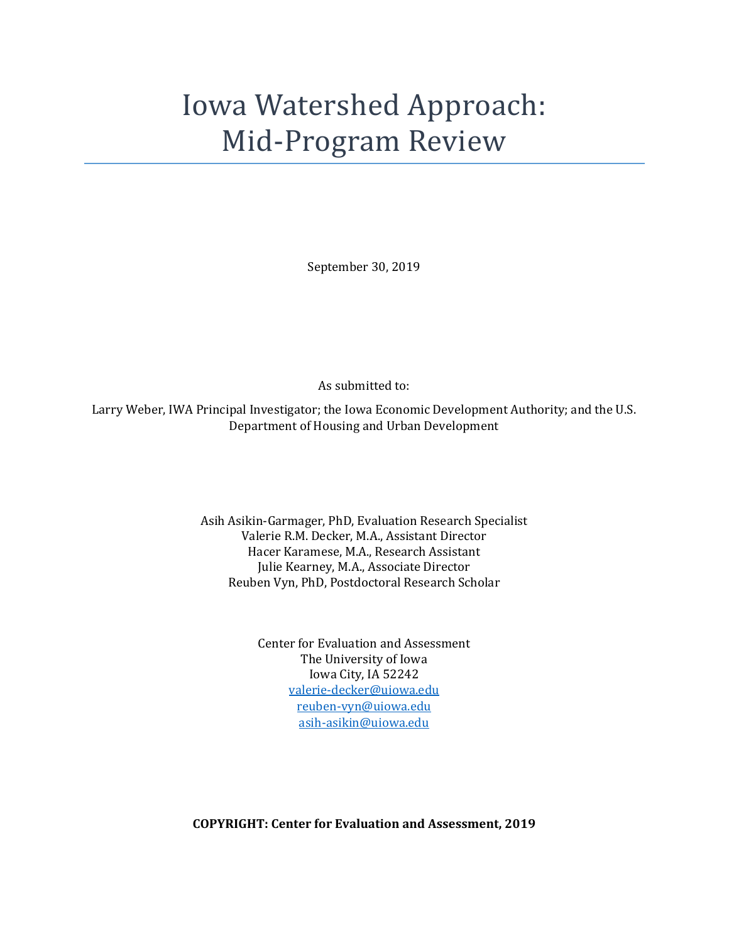# Iowa Watershed Approach: Mid-Program Review

September 30, 2019

As submitted to:

Larry Weber, IWA Principal Investigator; the Iowa Economic Development Authority; and the U.S. Department of Housing and Urban Development

> Asih Asikin-Garmager, PhD, Evaluation Research Specialist Valerie R.M. Decker, M.A., Assistant Director Hacer Karamese, M.A., Research Assistant Julie Kearney, M.A., Associate Director Reuben Vyn, PhD, Postdoctoral Research Scholar

> > Center for Evaluation and Assessment The University of Iowa Iowa City, IA 52242 [valerie-decker@uiowa.edu](mailto:valerie-decker@uiowa.edu) [reuben-vyn@uiowa.edu](mailto:reuben-vyn@uiowa.edu) [asih-asikin@uiowa.edu](mailto:asih-asikin@uiowa.edu)

**COPYRIGHT: Center for Evaluation and Assessment, 2019**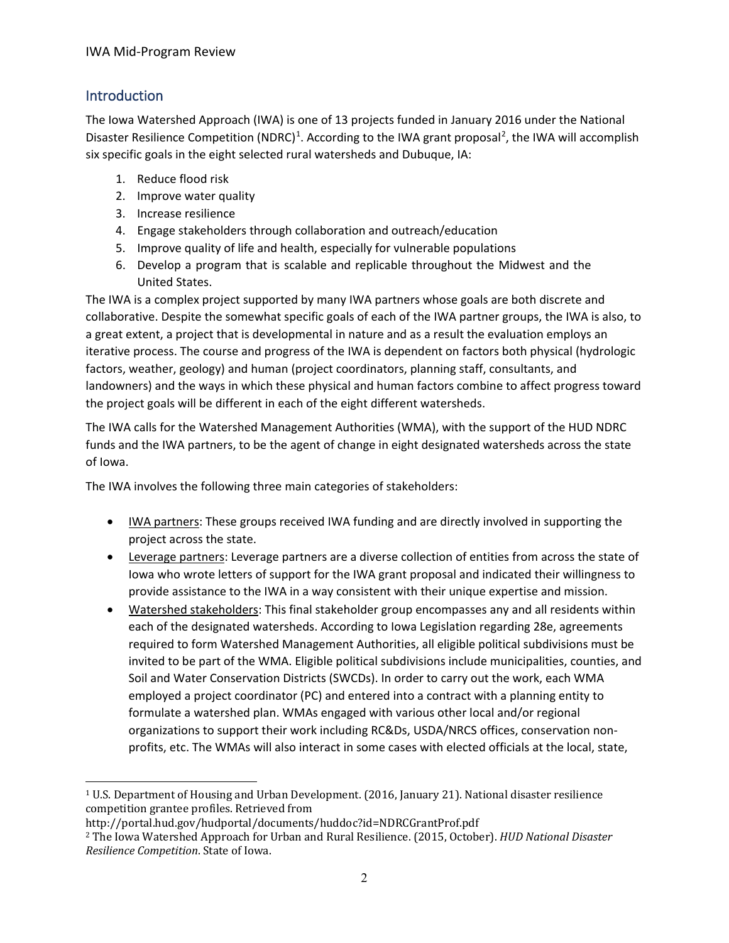# Introduction

The Iowa Watershed Approach (IWA) is one of 13 projects funded in January 2016 under the National Disaster Resilience Competition (NDRC)<sup>[1](#page-1-0)</sup>. According to the IWA grant proposal<sup>[2](#page-1-1)</sup>, the IWA will accomplish six specific goals in the eight selected rural watersheds and Dubuque, IA:

- 1. Reduce flood risk
- 2. Improve water quality
- 3. Increase resilience
- 4. Engage stakeholders through collaboration and outreach/education
- 5. Improve quality of life and health, especially for vulnerable populations
- 6. Develop a program that is scalable and replicable throughout the Midwest and the United States.

The IWA is a complex project supported by many IWA partners whose goals are both discrete and collaborative. Despite the somewhat specific goals of each of the IWA partner groups, the IWA is also, to a great extent, a project that is developmental in nature and as a result the evaluation employs an iterative process. The course and progress of the IWA is dependent on factors both physical (hydrologic factors, weather, geology) and human (project coordinators, planning staff, consultants, and landowners) and the ways in which these physical and human factors combine to affect progress toward the project goals will be different in each of the eight different watersheds.

The IWA calls for the Watershed Management Authorities (WMA), with the support of the HUD NDRC funds and the IWA partners, to be the agent of change in eight designated watersheds across the state of Iowa.

The IWA involves the following three main categories of stakeholders:

- IWA partners: These groups received IWA funding and are directly involved in supporting the project across the state.
- Leverage partners: Leverage partners are a diverse collection of entities from across the state of Iowa who wrote letters of support for the IWA grant proposal and indicated their willingness to provide assistance to the IWA in a way consistent with their unique expertise and mission.
- Watershed stakeholders: This final stakeholder group encompasses any and all residents within each of the designated watersheds. According to Iowa Legislation regarding 28e, agreements required to form Watershed Management Authorities, all eligible political subdivisions must be invited to be part of the WMA. Eligible political subdivisions include municipalities, counties, and Soil and Water Conservation Districts (SWCDs). In order to carry out the work, each WMA employed a project coordinator (PC) and entered into a contract with a planning entity to formulate a watershed plan. WMAs engaged with various other local and/or regional organizations to support their work including RC&Ds, USDA/NRCS offices, conservation nonprofits, etc. The WMAs will also interact in some cases with elected officials at the local, state,

http://portal.hud.gov/hudportal/documents/huddoc?id=NDRCGrantProf.pdf

<span id="page-1-0"></span><sup>1</sup> U.S. Department of Housing and Urban Development. (2016, January 21). National disaster resilience competition grantee profiles. Retrieved from

<span id="page-1-1"></span><sup>2</sup> The Iowa Watershed Approach for Urban and Rural Resilience. (2015, October). *HUD National Disaster Resilience Competition*. State of Iowa.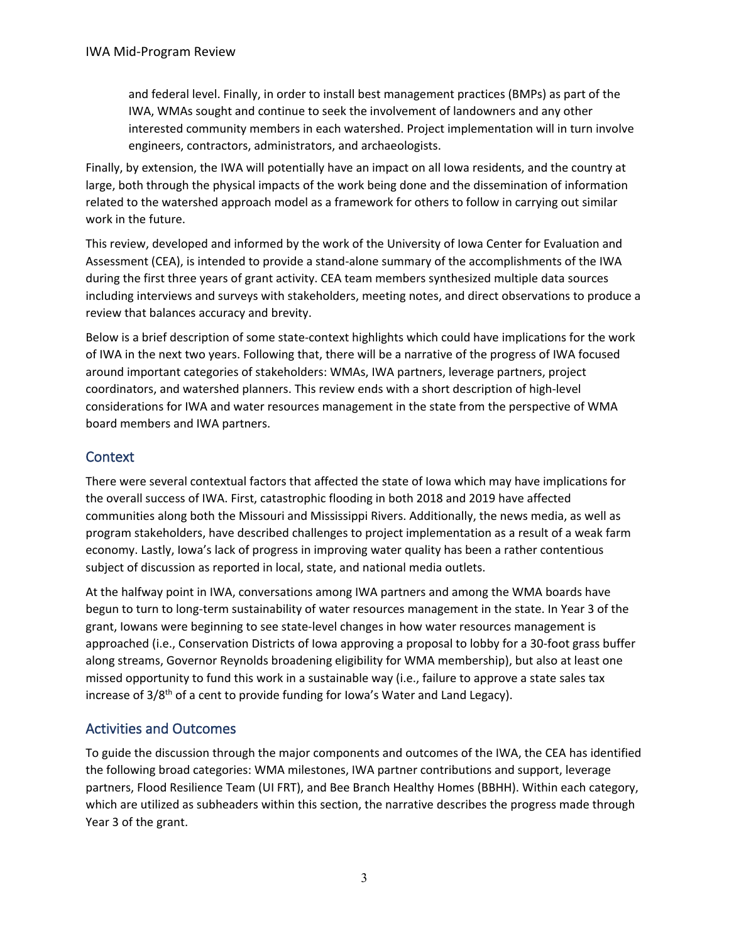and federal level. Finally, in order to install best management practices (BMPs) as part of the IWA, WMAs sought and continue to seek the involvement of landowners and any other interested community members in each watershed. Project implementation will in turn involve engineers, contractors, administrators, and archaeologists.

Finally, by extension, the IWA will potentially have an impact on all Iowa residents, and the country at large, both through the physical impacts of the work being done and the dissemination of information related to the watershed approach model as a framework for others to follow in carrying out similar work in the future.

This review, developed and informed by the work of the University of Iowa Center for Evaluation and Assessment (CEA), is intended to provide a stand-alone summary of the accomplishments of the IWA during the first three years of grant activity. CEA team members synthesized multiple data sources including interviews and surveys with stakeholders, meeting notes, and direct observations to produce a review that balances accuracy and brevity.

Below is a brief description of some state-context highlights which could have implications for the work of IWA in the next two years. Following that, there will be a narrative of the progress of IWA focused around important categories of stakeholders: WMAs, IWA partners, leverage partners, project coordinators, and watershed planners. This review ends with a short description of high-level considerations for IWA and water resources management in the state from the perspective of WMA board members and IWA partners.

# **Context**

There were several contextual factors that affected the state of Iowa which may have implications for the overall success of IWA. First, catastrophic flooding in both 2018 and 2019 have affected communities along both the Missouri and Mississippi Rivers. Additionally, the news media, as well as program stakeholders, have described challenges to project implementation as a result of a weak farm economy. Lastly, Iowa's lack of progress in improving water quality has been a rather contentious subject of discussion as reported in local, state, and national media outlets.

At the halfway point in IWA, conversations among IWA partners and among the WMA boards have begun to turn to long-term sustainability of water resources management in the state. In Year 3 of the grant, Iowans were beginning to see state-level changes in how water resources management is approached (i.e., Conservation Districts of Iowa approving a proposal to lobby for a 30-foot grass buffer along streams, Governor Reynolds broadening eligibility for WMA membership), but also at least one missed opportunity to fund this work in a sustainable way (i.e., failure to approve a state sales tax increase of  $3/8<sup>th</sup>$  of a cent to provide funding for Iowa's Water and Land Legacy).

# Activities and Outcomes

To guide the discussion through the major components and outcomes of the IWA, the CEA has identified the following broad categories: WMA milestones, IWA partner contributions and support, leverage partners, Flood Resilience Team (UI FRT), and Bee Branch Healthy Homes (BBHH). Within each category, which are utilized as subheaders within this section, the narrative describes the progress made through Year 3 of the grant.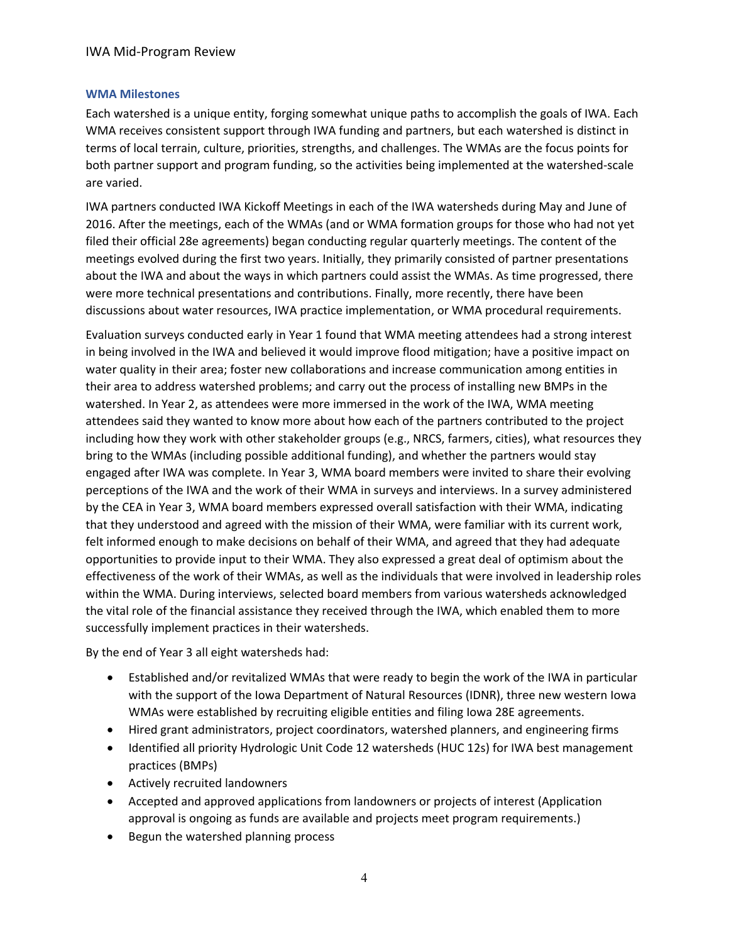#### **WMA Milestones**

Each watershed is a unique entity, forging somewhat unique paths to accomplish the goals of IWA. Each WMA receives consistent support through IWA funding and partners, but each watershed is distinct in terms of local terrain, culture, priorities, strengths, and challenges. The WMAs are the focus points for both partner support and program funding, so the activities being implemented at the watershed-scale are varied.

IWA partners conducted IWA Kickoff Meetings in each of the IWA watersheds during May and June of 2016. After the meetings, each of the WMAs (and or WMA formation groups for those who had not yet filed their official 28e agreements) began conducting regular quarterly meetings. The content of the meetings evolved during the first two years. Initially, they primarily consisted of partner presentations about the IWA and about the ways in which partners could assist the WMAs. As time progressed, there were more technical presentations and contributions. Finally, more recently, there have been discussions about water resources, IWA practice implementation, or WMA procedural requirements.

Evaluation surveys conducted early in Year 1 found that WMA meeting attendees had a strong interest in being involved in the IWA and believed it would improve flood mitigation; have a positive impact on water quality in their area; foster new collaborations and increase communication among entities in their area to address watershed problems; and carry out the process of installing new BMPs in the watershed. In Year 2, as attendees were more immersed in the work of the IWA, WMA meeting attendees said they wanted to know more about how each of the partners contributed to the project including how they work with other stakeholder groups (e.g., NRCS, farmers, cities), what resources they bring to the WMAs (including possible additional funding), and whether the partners would stay engaged after IWA was complete. In Year 3, WMA board members were invited to share their evolving perceptions of the IWA and the work of their WMA in surveys and interviews. In a survey administered by the CEA in Year 3, WMA board members expressed overall satisfaction with their WMA, indicating that they understood and agreed with the mission of their WMA, were familiar with its current work, felt informed enough to make decisions on behalf of their WMA, and agreed that they had adequate opportunities to provide input to their WMA. They also expressed a great deal of optimism about the effectiveness of the work of their WMAs, as well as the individuals that were involved in leadership roles within the WMA. During interviews, selected board members from various watersheds acknowledged the vital role of the financial assistance they received through the IWA, which enabled them to more successfully implement practices in their watersheds.

By the end of Year 3 all eight watersheds had:

- Established and/or revitalized WMAs that were ready to begin the work of the IWA in particular with the support of the Iowa Department of Natural Resources (IDNR), three new western Iowa WMAs were established by recruiting eligible entities and filing Iowa 28E agreements.
- Hired grant administrators, project coordinators, watershed planners, and engineering firms
- Identified all priority Hydrologic Unit Code 12 watersheds (HUC 12s) for IWA best management practices (BMPs)
- Actively recruited landowners
- Accepted and approved applications from landowners or projects of interest (Application approval is ongoing as funds are available and projects meet program requirements.)
- Begun the watershed planning process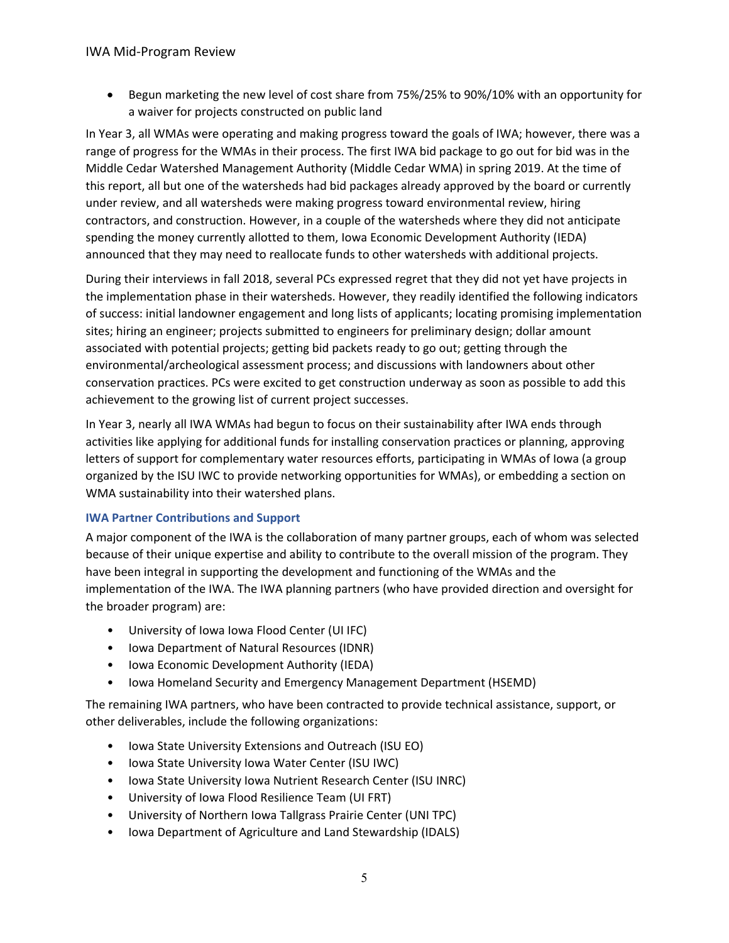• Begun marketing the new level of cost share from 75%/25% to 90%/10% with an opportunity for a waiver for projects constructed on public land

In Year 3, all WMAs were operating and making progress toward the goals of IWA; however, there was a range of progress for the WMAs in their process. The first IWA bid package to go out for bid was in the Middle Cedar Watershed Management Authority (Middle Cedar WMA) in spring 2019. At the time of this report, all but one of the watersheds had bid packages already approved by the board or currently under review, and all watersheds were making progress toward environmental review, hiring contractors, and construction. However, in a couple of the watersheds where they did not anticipate spending the money currently allotted to them, Iowa Economic Development Authority (IEDA) announced that they may need to reallocate funds to other watersheds with additional projects.

During their interviews in fall 2018, several PCs expressed regret that they did not yet have projects in the implementation phase in their watersheds. However, they readily identified the following indicators of success: initial landowner engagement and long lists of applicants; locating promising implementation sites; hiring an engineer; projects submitted to engineers for preliminary design; dollar amount associated with potential projects; getting bid packets ready to go out; getting through the environmental/archeological assessment process; and discussions with landowners about other conservation practices. PCs were excited to get construction underway as soon as possible to add this achievement to the growing list of current project successes.

In Year 3, nearly all IWA WMAs had begun to focus on their sustainability after IWA ends through activities like applying for additional funds for installing conservation practices or planning, approving letters of support for complementary water resources efforts, participating in WMAs of Iowa (a group organized by the ISU IWC to provide networking opportunities for WMAs), or embedding a section on WMA sustainability into their watershed plans.

# **IWA Partner Contributions and Support**

A major component of the IWA is the collaboration of many partner groups, each of whom was selected because of their unique expertise and ability to contribute to the overall mission of the program. They have been integral in supporting the development and functioning of the WMAs and the implementation of the IWA. The IWA planning partners (who have provided direction and oversight for the broader program) are:

- University of Iowa Iowa Flood Center (UI IFC)
- Iowa Department of Natural Resources (IDNR)
- Iowa Economic Development Authority (IEDA)
- Iowa Homeland Security and Emergency Management Department (HSEMD)

The remaining IWA partners, who have been contracted to provide technical assistance, support, or other deliverables, include the following organizations:

- Iowa State University Extensions and Outreach (ISU EO)
- Iowa State University Iowa Water Center (ISU IWC)
- Iowa State University Iowa Nutrient Research Center (ISU INRC)
- University of Iowa Flood Resilience Team (UI FRT)
- University of Northern Iowa Tallgrass Prairie Center (UNI TPC)
- Iowa Department of Agriculture and Land Stewardship (IDALS)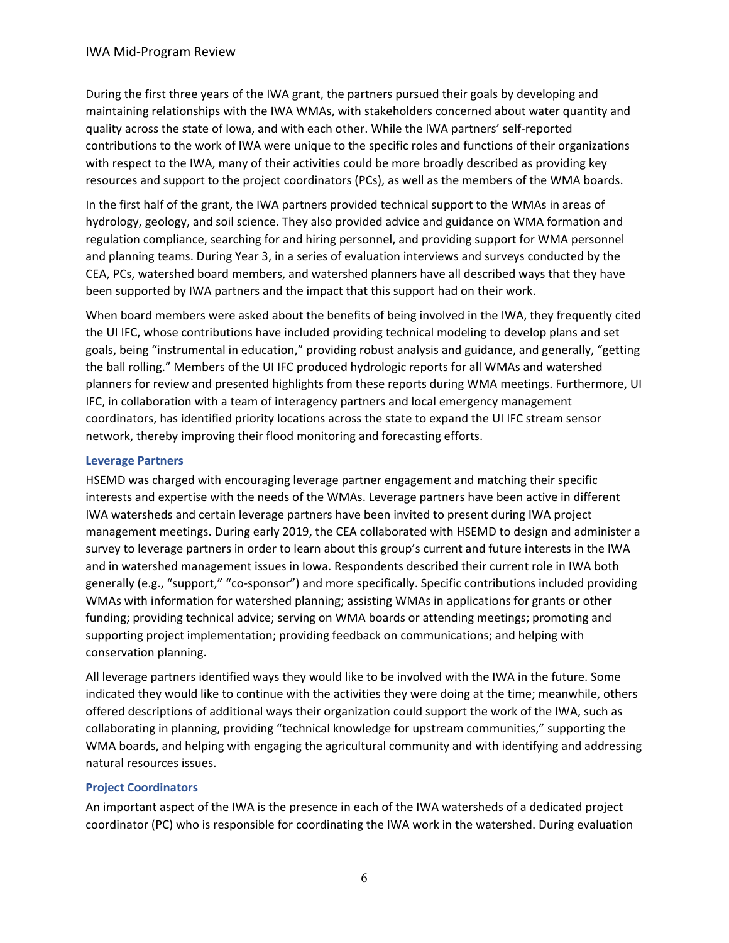During the first three years of the IWA grant, the partners pursued their goals by developing and maintaining relationships with the IWA WMAs, with stakeholders concerned about water quantity and quality across the state of Iowa, and with each other. While the IWA partners' self-reported contributions to the work of IWA were unique to the specific roles and functions of their organizations with respect to the IWA, many of their activities could be more broadly described as providing key resources and support to the project coordinators (PCs), as well as the members of the WMA boards.

In the first half of the grant, the IWA partners provided technical support to the WMAs in areas of hydrology, geology, and soil science. They also provided advice and guidance on WMA formation and regulation compliance, searching for and hiring personnel, and providing support for WMA personnel and planning teams. During Year 3, in a series of evaluation interviews and surveys conducted by the CEA, PCs, watershed board members, and watershed planners have all described ways that they have been supported by IWA partners and the impact that this support had on their work.

When board members were asked about the benefits of being involved in the IWA, they frequently cited the UI IFC, whose contributions have included providing technical modeling to develop plans and set goals, being "instrumental in education," providing robust analysis and guidance, and generally, "getting the ball rolling." Members of the UI IFC produced hydrologic reports for all WMAs and watershed planners for review and presented highlights from these reports during WMA meetings. Furthermore, UI IFC, in collaboration with a team of interagency partners and local emergency management coordinators, has identified priority locations across the state to expand the UI IFC stream sensor network, thereby improving their flood monitoring and forecasting efforts.

## **Leverage Partners**

HSEMD was charged with encouraging leverage partner engagement and matching their specific interests and expertise with the needs of the WMAs. Leverage partners have been active in different IWA watersheds and certain leverage partners have been invited to present during IWA project management meetings. During early 2019, the CEA collaborated with HSEMD to design and administer a survey to leverage partners in order to learn about this group's current and future interests in the IWA and in watershed management issues in Iowa. Respondents described their current role in IWA both generally (e.g., "support," "co-sponsor") and more specifically. Specific contributions included providing WMAs with information for watershed planning; assisting WMAs in applications for grants or other funding; providing technical advice; serving on WMA boards or attending meetings; promoting and supporting project implementation; providing feedback on communications; and helping with conservation planning.

All leverage partners identified ways they would like to be involved with the IWA in the future. Some indicated they would like to continue with the activities they were doing at the time; meanwhile, others offered descriptions of additional ways their organization could support the work of the IWA, such as collaborating in planning, providing "technical knowledge for upstream communities," supporting the WMA boards, and helping with engaging the agricultural community and with identifying and addressing natural resources issues.

# **Project Coordinators**

An important aspect of the IWA is the presence in each of the IWA watersheds of a dedicated project coordinator (PC) who is responsible for coordinating the IWA work in the watershed. During evaluation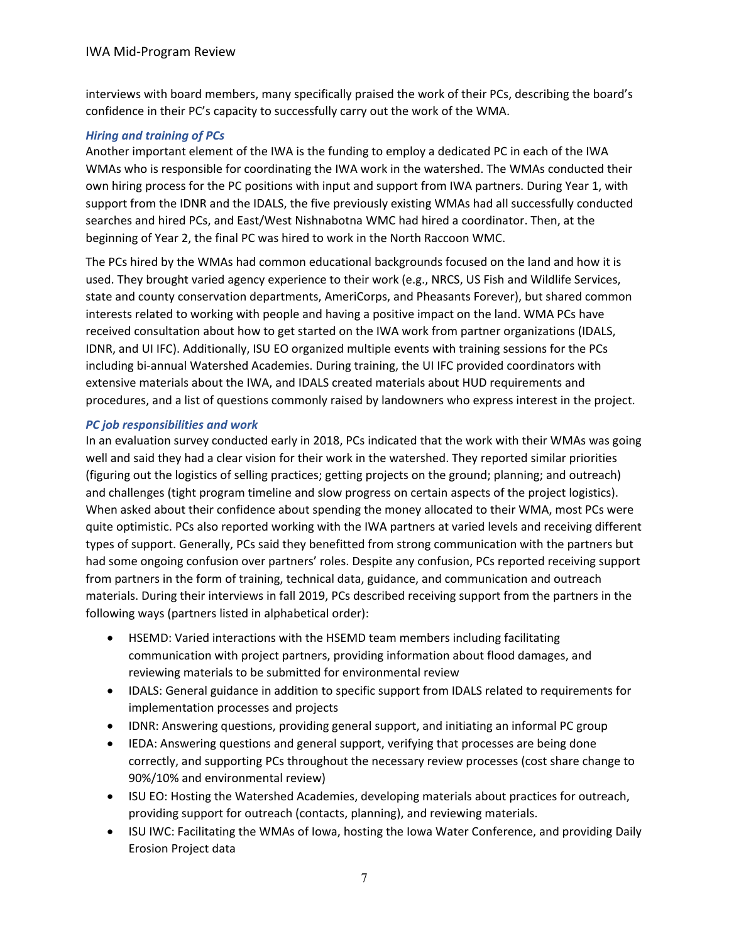interviews with board members, many specifically praised the work of their PCs, describing the board's confidence in their PC's capacity to successfully carry out the work of the WMA.

## *Hiring and training of PCs*

Another important element of the IWA is the funding to employ a dedicated PC in each of the IWA WMAs who is responsible for coordinating the IWA work in the watershed. The WMAs conducted their own hiring process for the PC positions with input and support from IWA partners. During Year 1, with support from the IDNR and the IDALS, the five previously existing WMAs had all successfully conducted searches and hired PCs, and East/West Nishnabotna WMC had hired a coordinator. Then, at the beginning of Year 2, the final PC was hired to work in the North Raccoon WMC.

The PCs hired by the WMAs had common educational backgrounds focused on the land and how it is used. They brought varied agency experience to their work (e.g., NRCS, US Fish and Wildlife Services, state and county conservation departments, AmeriCorps, and Pheasants Forever), but shared common interests related to working with people and having a positive impact on the land. WMA PCs have received consultation about how to get started on the IWA work from partner organizations (IDALS, IDNR, and UI IFC). Additionally, ISU EO organized multiple events with training sessions for the PCs including bi-annual Watershed Academies. During training, the UI IFC provided coordinators with extensive materials about the IWA, and IDALS created materials about HUD requirements and procedures, and a list of questions commonly raised by landowners who express interest in the project.

## *PC job responsibilities and work*

In an evaluation survey conducted early in 2018, PCs indicated that the work with their WMAs was going well and said they had a clear vision for their work in the watershed. They reported similar priorities (figuring out the logistics of selling practices; getting projects on the ground; planning; and outreach) and challenges (tight program timeline and slow progress on certain aspects of the project logistics). When asked about their confidence about spending the money allocated to their WMA, most PCs were quite optimistic. PCs also reported working with the IWA partners at varied levels and receiving different types of support. Generally, PCs said they benefitted from strong communication with the partners but had some ongoing confusion over partners' roles. Despite any confusion, PCs reported receiving support from partners in the form of training, technical data, guidance, and communication and outreach materials. During their interviews in fall 2019, PCs described receiving support from the partners in the following ways (partners listed in alphabetical order):

- HSEMD: Varied interactions with the HSEMD team members including facilitating communication with project partners, providing information about flood damages, and reviewing materials to be submitted for environmental review
- IDALS: General guidance in addition to specific support from IDALS related to requirements for implementation processes and projects
- IDNR: Answering questions, providing general support, and initiating an informal PC group
- IEDA: Answering questions and general support, verifying that processes are being done correctly, and supporting PCs throughout the necessary review processes (cost share change to 90%/10% and environmental review)
- ISU EO: Hosting the Watershed Academies, developing materials about practices for outreach, providing support for outreach (contacts, planning), and reviewing materials.
- ISU IWC: Facilitating the WMAs of Iowa, hosting the Iowa Water Conference, and providing Daily Erosion Project data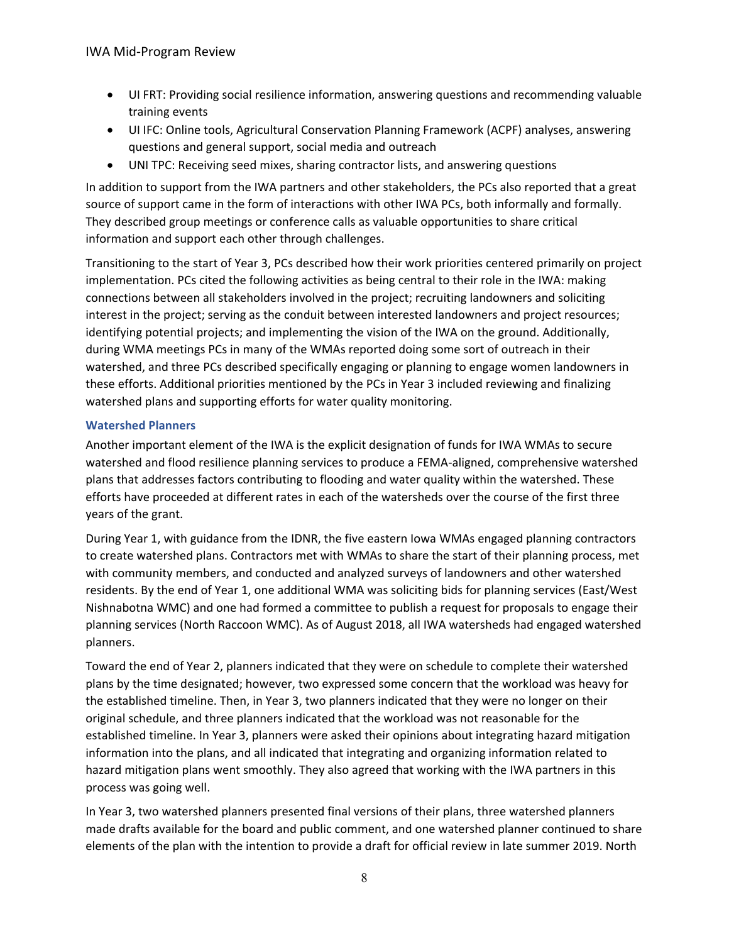- UI FRT: Providing social resilience information, answering questions and recommending valuable training events
- UI IFC: Online tools, Agricultural Conservation Planning Framework (ACPF) analyses, answering questions and general support, social media and outreach
- UNI TPC: Receiving seed mixes, sharing contractor lists, and answering questions

In addition to support from the IWA partners and other stakeholders, the PCs also reported that a great source of support came in the form of interactions with other IWA PCs, both informally and formally. They described group meetings or conference calls as valuable opportunities to share critical information and support each other through challenges.

Transitioning to the start of Year 3, PCs described how their work priorities centered primarily on project implementation. PCs cited the following activities as being central to their role in the IWA: making connections between all stakeholders involved in the project; recruiting landowners and soliciting interest in the project; serving as the conduit between interested landowners and project resources; identifying potential projects; and implementing the vision of the IWA on the ground. Additionally, during WMA meetings PCs in many of the WMAs reported doing some sort of outreach in their watershed, and three PCs described specifically engaging or planning to engage women landowners in these efforts. Additional priorities mentioned by the PCs in Year 3 included reviewing and finalizing watershed plans and supporting efforts for water quality monitoring.

# **Watershed Planners**

Another important element of the IWA is the explicit designation of funds for IWA WMAs to secure watershed and flood resilience planning services to produce a FEMA-aligned, comprehensive watershed plans that addresses factors contributing to flooding and water quality within the watershed. These efforts have proceeded at different rates in each of the watersheds over the course of the first three years of the grant.

During Year 1, with guidance from the IDNR, the five eastern Iowa WMAs engaged planning contractors to create watershed plans. Contractors met with WMAs to share the start of their planning process, met with community members, and conducted and analyzed surveys of landowners and other watershed residents. By the end of Year 1, one additional WMA was soliciting bids for planning services (East/West Nishnabotna WMC) and one had formed a committee to publish a request for proposals to engage their planning services (North Raccoon WMC). As of August 2018, all IWA watersheds had engaged watershed planners.

Toward the end of Year 2, planners indicated that they were on schedule to complete their watershed plans by the time designated; however, two expressed some concern that the workload was heavy for the established timeline. Then, in Year 3, two planners indicated that they were no longer on their original schedule, and three planners indicated that the workload was not reasonable for the established timeline. In Year 3, planners were asked their opinions about integrating hazard mitigation information into the plans, and all indicated that integrating and organizing information related to hazard mitigation plans went smoothly. They also agreed that working with the IWA partners in this process was going well.

In Year 3, two watershed planners presented final versions of their plans, three watershed planners made drafts available for the board and public comment, and one watershed planner continued to share elements of the plan with the intention to provide a draft for official review in late summer 2019. North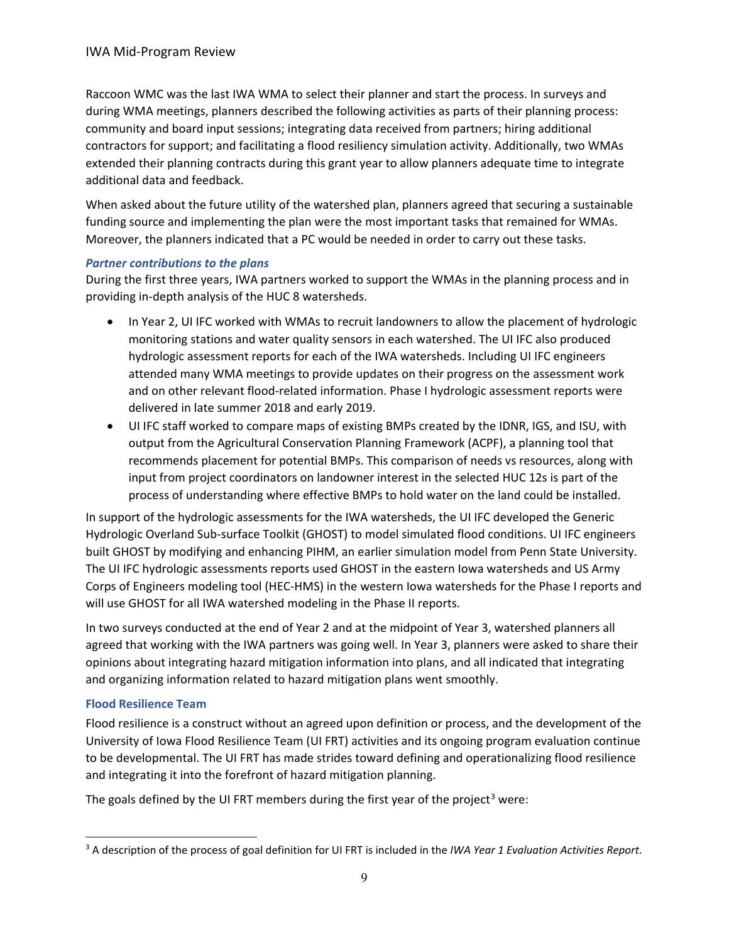Raccoon WMC was the last IWA WMA to select their planner and start the process. In surveys and during WMA meetings, planners described the following activities as parts of their planning process: community and board input sessions; integrating data received from partners; hiring additional contractors for support; and facilitating a flood resiliency simulation activity. Additionally, two WMAs extended their planning contracts during this grant year to allow planners adequate time to integrate additional data and feedback.

When asked about the future utility of the watershed plan, planners agreed that securing a sustainable funding source and implementing the plan were the most important tasks that remained for WMAs. Moreover, the planners indicated that a PC would be needed in order to carry out these tasks.

## *Partner contributions to the plans*

During the first three years, IWA partners worked to support the WMAs in the planning process and in providing in-depth analysis of the HUC 8 watersheds.

- In Year 2, UI IFC worked with WMAs to recruit landowners to allow the placement of hydrologic monitoring stations and water quality sensors in each watershed. The UI IFC also produced hydrologic assessment reports for each of the IWA watersheds. Including UI IFC engineers attended many WMA meetings to provide updates on their progress on the assessment work and on other relevant flood-related information. Phase I hydrologic assessment reports were delivered in late summer 2018 and early 2019.
- UI IFC staff worked to compare maps of existing BMPs created by the IDNR, IGS, and ISU, with output from the Agricultural Conservation Planning Framework (ACPF), a planning tool that recommends placement for potential BMPs. This comparison of needs vs resources, along with input from project coordinators on landowner interest in the selected HUC 12s is part of the process of understanding where effective BMPs to hold water on the land could be installed.

In support of the hydrologic assessments for the IWA watersheds, the UI IFC developed the Generic Hydrologic Overland Sub-surface Toolkit (GHOST) to model simulated flood conditions. UI IFC engineers built GHOST by modifying and enhancing PIHM, an earlier simulation model from Penn State University. The UI IFC hydrologic assessments reports used GHOST in the eastern Iowa watersheds and US Army Corps of Engineers modeling tool (HEC-HMS) in the western Iowa watersheds for the Phase I reports and will use GHOST for all IWA watershed modeling in the Phase II reports.

In two surveys conducted at the end of Year 2 and at the midpoint of Year 3, watershed planners all agreed that working with the IWA partners was going well. In Year 3, planners were asked to share their opinions about integrating hazard mitigation information into plans, and all indicated that integrating and organizing information related to hazard mitigation plans went smoothly.

# **Flood Resilience Team**

Flood resilience is a construct without an agreed upon definition or process, and the development of the University of Iowa Flood Resilience Team (UI FRT) activities and its ongoing program evaluation continue to be developmental. The UI FRT has made strides toward defining and operationalizing flood resilience and integrating it into the forefront of hazard mitigation planning.

The goals defined by the UI FRT members during the first year of the project<sup>[3](#page-8-0)</sup> were:

<span id="page-8-0"></span><sup>3</sup> A description of the process of goal definition for UI FRT is included in the *IWA Year 1 Evaluation Activities Report*.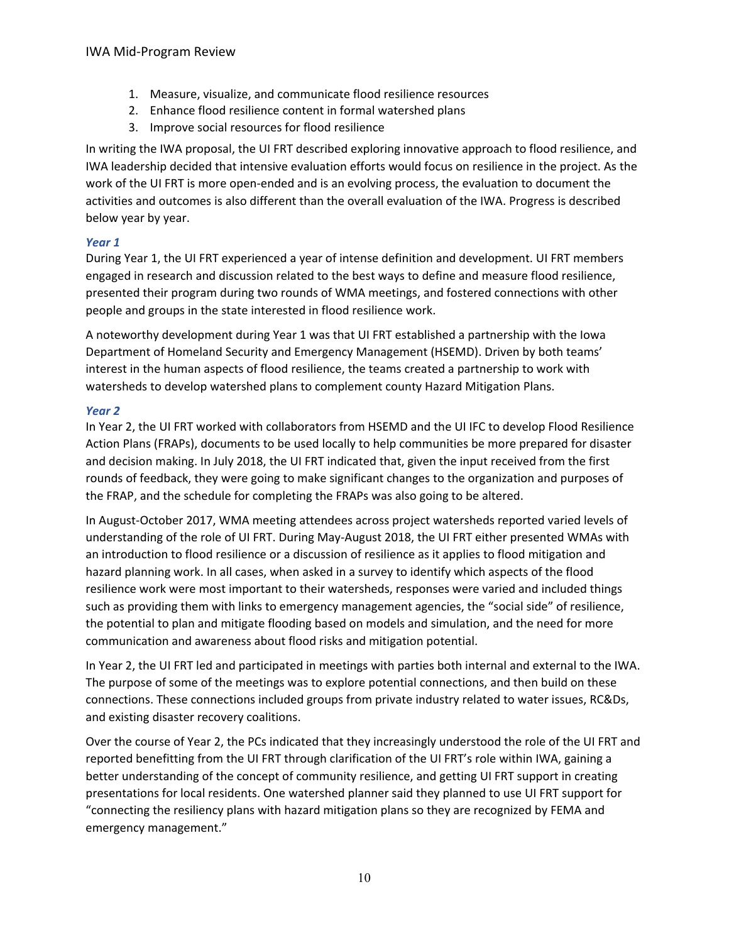- 1. Measure, visualize, and communicate flood resilience resources
- 2. Enhance flood resilience content in formal watershed plans
- 3. Improve social resources for flood resilience

In writing the IWA proposal, the UI FRT described exploring innovative approach to flood resilience, and IWA leadership decided that intensive evaluation efforts would focus on resilience in the project. As the work of the UI FRT is more open-ended and is an evolving process, the evaluation to document the activities and outcomes is also different than the overall evaluation of the IWA. Progress is described below year by year.

# *Year 1*

During Year 1, the UI FRT experienced a year of intense definition and development. UI FRT members engaged in research and discussion related to the best ways to define and measure flood resilience, presented their program during two rounds of WMA meetings, and fostered connections with other people and groups in the state interested in flood resilience work.

A noteworthy development during Year 1 was that UI FRT established a partnership with the Iowa Department of Homeland Security and Emergency Management (HSEMD). Driven by both teams' interest in the human aspects of flood resilience, the teams created a partnership to work with watersheds to develop watershed plans to complement county Hazard Mitigation Plans.

# *Year 2*

In Year 2, the UI FRT worked with collaborators from HSEMD and the UI IFC to develop Flood Resilience Action Plans (FRAPs), documents to be used locally to help communities be more prepared for disaster and decision making. In July 2018, the UI FRT indicated that, given the input received from the first rounds of feedback, they were going to make significant changes to the organization and purposes of the FRAP, and the schedule for completing the FRAPs was also going to be altered.

In August-October 2017, WMA meeting attendees across project watersheds reported varied levels of understanding of the role of UI FRT. During May-August 2018, the UI FRT either presented WMAs with an introduction to flood resilience or a discussion of resilience as it applies to flood mitigation and hazard planning work. In all cases, when asked in a survey to identify which aspects of the flood resilience work were most important to their watersheds, responses were varied and included things such as providing them with links to emergency management agencies, the "social side" of resilience, the potential to plan and mitigate flooding based on models and simulation, and the need for more communication and awareness about flood risks and mitigation potential.

In Year 2, the UI FRT led and participated in meetings with parties both internal and external to the IWA. The purpose of some of the meetings was to explore potential connections, and then build on these connections. These connections included groups from private industry related to water issues, RC&Ds, and existing disaster recovery coalitions.

Over the course of Year 2, the PCs indicated that they increasingly understood the role of the UI FRT and reported benefitting from the UI FRT through clarification of the UI FRT's role within IWA, gaining a better understanding of the concept of community resilience, and getting UI FRT support in creating presentations for local residents. One watershed planner said they planned to use UI FRT support for "connecting the resiliency plans with hazard mitigation plans so they are recognized by FEMA and emergency management."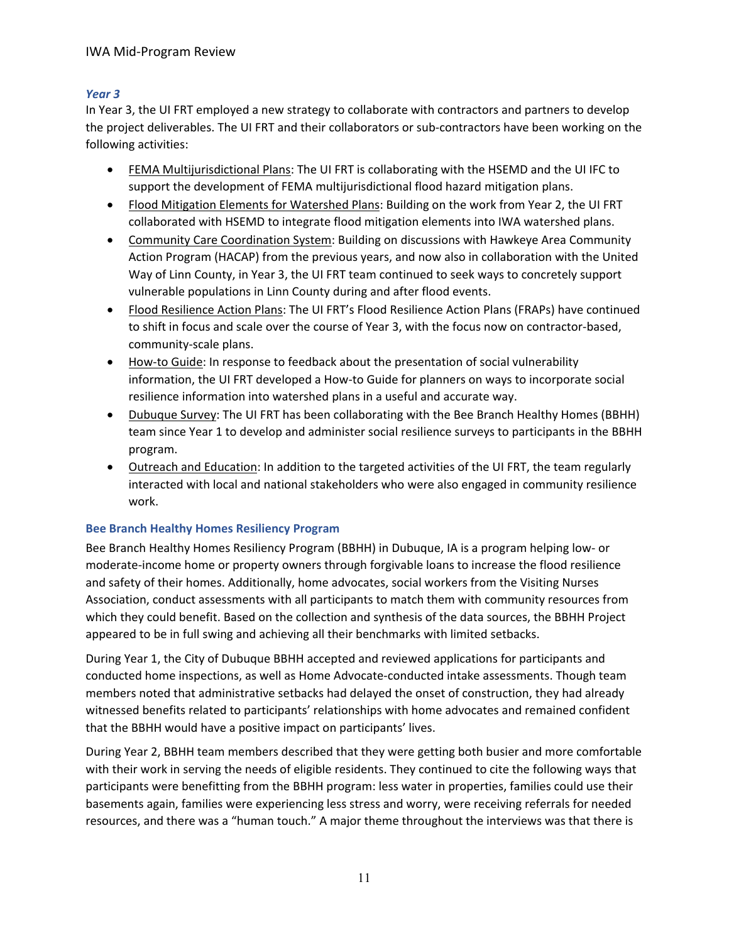## IWA Mid-Program Review

## *Year 3*

In Year 3, the UI FRT employed a new strategy to collaborate with contractors and partners to develop the project deliverables. The UI FRT and their collaborators or sub-contractors have been working on the following activities:

- FEMA Multijurisdictional Plans: The UI FRT is collaborating with the HSEMD and the UI IFC to support the development of FEMA multijurisdictional flood hazard mitigation plans.
- Flood Mitigation Elements for Watershed Plans: Building on the work from Year 2, the UI FRT collaborated with HSEMD to integrate flood mitigation elements into IWA watershed plans.
- Community Care Coordination System: Building on discussions with Hawkeye Area Community Action Program (HACAP) from the previous years, and now also in collaboration with the United Way of Linn County, in Year 3, the UI FRT team continued to seek ways to concretely support vulnerable populations in Linn County during and after flood events.
- Flood Resilience Action Plans: The UI FRT's Flood Resilience Action Plans (FRAPs) have continued to shift in focus and scale over the course of Year 3, with the focus now on contractor-based, community-scale plans.
- How-to Guide: In response to feedback about the presentation of social vulnerability information, the UI FRT developed a How-to Guide for planners on ways to incorporate social resilience information into watershed plans in a useful and accurate way.
- Dubuque Survey: The UI FRT has been collaborating with the Bee Branch Healthy Homes (BBHH) team since Year 1 to develop and administer social resilience surveys to participants in the BBHH program.
- Outreach and Education: In addition to the targeted activities of the UI FRT, the team regularly interacted with local and national stakeholders who were also engaged in community resilience work.

#### **Bee Branch Healthy Homes Resiliency Program**

Bee Branch Healthy Homes Resiliency Program (BBHH) in Dubuque, IA is a program helping low- or moderate-income home or property owners through forgivable loans to increase the flood resilience and safety of their homes. Additionally, home advocates, social workers from the Visiting Nurses Association, conduct assessments with all participants to match them with community resources from which they could benefit. Based on the collection and synthesis of the data sources, the BBHH Project appeared to be in full swing and achieving all their benchmarks with limited setbacks.

During Year 1, the City of Dubuque BBHH accepted and reviewed applications for participants and conducted home inspections, as well as Home Advocate-conducted intake assessments. Though team members noted that administrative setbacks had delayed the onset of construction, they had already witnessed benefits related to participants' relationships with home advocates and remained confident that the BBHH would have a positive impact on participants' lives.

During Year 2, BBHH team members described that they were getting both busier and more comfortable with their work in serving the needs of eligible residents. They continued to cite the following ways that participants were benefitting from the BBHH program: less water in properties, families could use their basements again, families were experiencing less stress and worry, were receiving referrals for needed resources, and there was a "human touch." A major theme throughout the interviews was that there is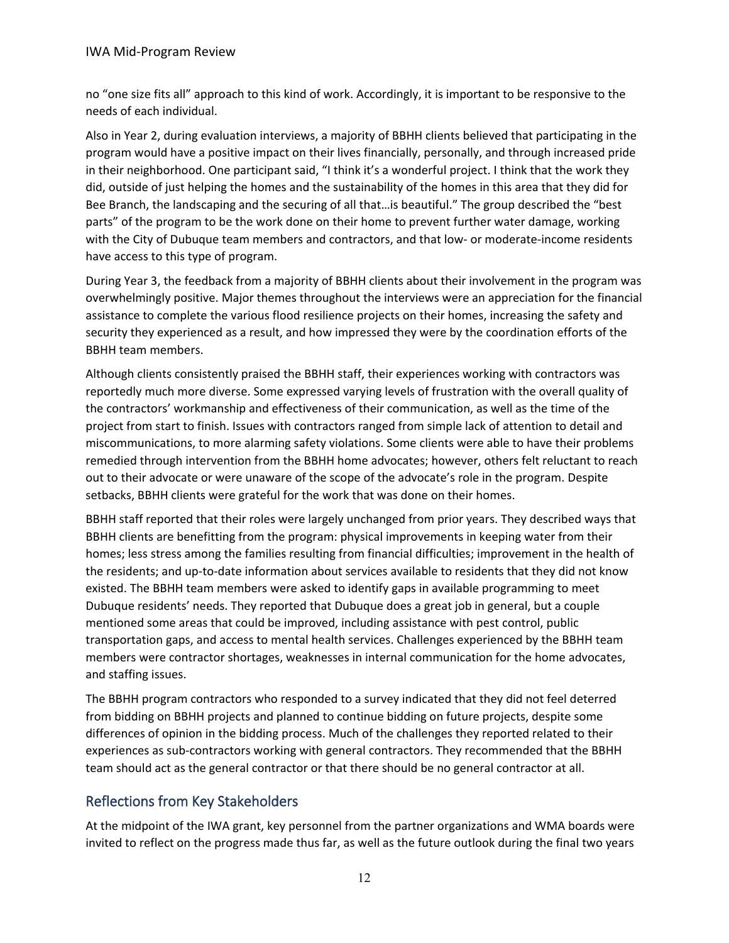no "one size fits all" approach to this kind of work. Accordingly, it is important to be responsive to the needs of each individual.

Also in Year 2, during evaluation interviews, a majority of BBHH clients believed that participating in the program would have a positive impact on their lives financially, personally, and through increased pride in their neighborhood. One participant said, "I think it's a wonderful project. I think that the work they did, outside of just helping the homes and the sustainability of the homes in this area that they did for Bee Branch, the landscaping and the securing of all that…is beautiful." The group described the "best parts" of the program to be the work done on their home to prevent further water damage, working with the City of Dubuque team members and contractors, and that low- or moderate-income residents have access to this type of program.

During Year 3, the feedback from a majority of BBHH clients about their involvement in the program was overwhelmingly positive. Major themes throughout the interviews were an appreciation for the financial assistance to complete the various flood resilience projects on their homes, increasing the safety and security they experienced as a result, and how impressed they were by the coordination efforts of the BBHH team members.

Although clients consistently praised the BBHH staff, their experiences working with contractors was reportedly much more diverse. Some expressed varying levels of frustration with the overall quality of the contractors' workmanship and effectiveness of their communication, as well as the time of the project from start to finish. Issues with contractors ranged from simple lack of attention to detail and miscommunications, to more alarming safety violations. Some clients were able to have their problems remedied through intervention from the BBHH home advocates; however, others felt reluctant to reach out to their advocate or were unaware of the scope of the advocate's role in the program. Despite setbacks, BBHH clients were grateful for the work that was done on their homes.

BBHH staff reported that their roles were largely unchanged from prior years. They described ways that BBHH clients are benefitting from the program: physical improvements in keeping water from their homes; less stress among the families resulting from financial difficulties; improvement in the health of the residents; and up-to-date information about services available to residents that they did not know existed. The BBHH team members were asked to identify gaps in available programming to meet Dubuque residents' needs. They reported that Dubuque does a great job in general, but a couple mentioned some areas that could be improved, including assistance with pest control, public transportation gaps, and access to mental health services. Challenges experienced by the BBHH team members were contractor shortages, weaknesses in internal communication for the home advocates, and staffing issues.

The BBHH program contractors who responded to a survey indicated that they did not feel deterred from bidding on BBHH projects and planned to continue bidding on future projects, despite some differences of opinion in the bidding process. Much of the challenges they reported related to their experiences as sub-contractors working with general contractors. They recommended that the BBHH team should act as the general contractor or that there should be no general contractor at all.

# Reflections from Key Stakeholders

At the midpoint of the IWA grant, key personnel from the partner organizations and WMA boards were invited to reflect on the progress made thus far, as well as the future outlook during the final two years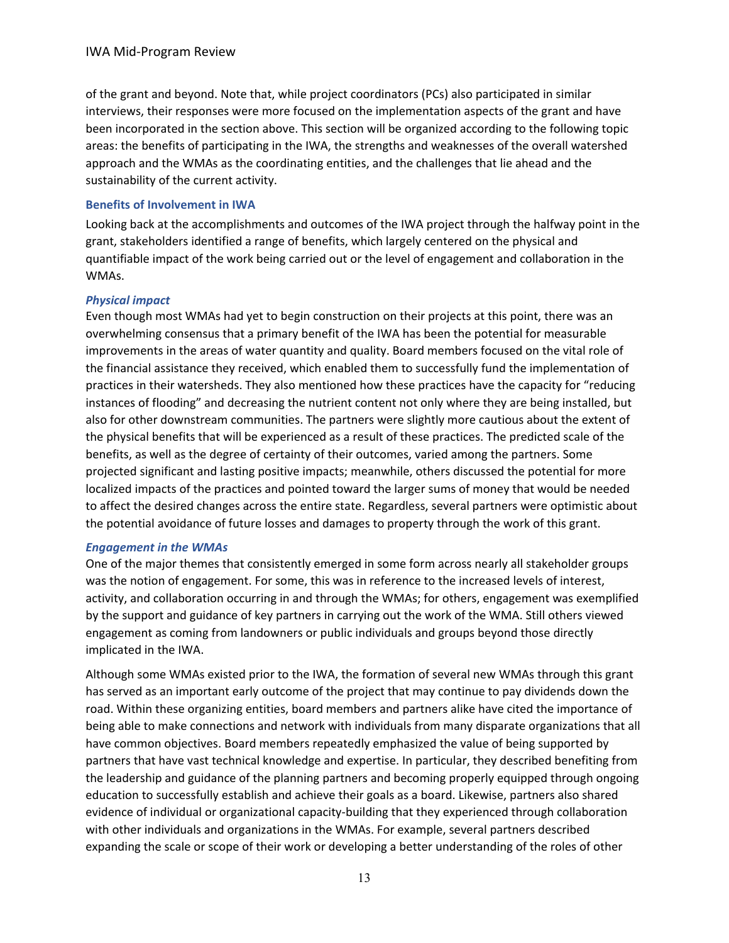of the grant and beyond. Note that, while project coordinators (PCs) also participated in similar interviews, their responses were more focused on the implementation aspects of the grant and have been incorporated in the section above. This section will be organized according to the following topic areas: the benefits of participating in the IWA, the strengths and weaknesses of the overall watershed approach and the WMAs as the coordinating entities, and the challenges that lie ahead and the sustainability of the current activity.

#### **Benefits of Involvement in IWA**

Looking back at the accomplishments and outcomes of the IWA project through the halfway point in the grant, stakeholders identified a range of benefits, which largely centered on the physical and quantifiable impact of the work being carried out or the level of engagement and collaboration in the WMAs.

#### *Physical impact*

Even though most WMAs had yet to begin construction on their projects at this point, there was an overwhelming consensus that a primary benefit of the IWA has been the potential for measurable improvements in the areas of water quantity and quality. Board members focused on the vital role of the financial assistance they received, which enabled them to successfully fund the implementation of practices in their watersheds. They also mentioned how these practices have the capacity for "reducing instances of flooding" and decreasing the nutrient content not only where they are being installed, but also for other downstream communities. The partners were slightly more cautious about the extent of the physical benefits that will be experienced as a result of these practices. The predicted scale of the benefits, as well as the degree of certainty of their outcomes, varied among the partners. Some projected significant and lasting positive impacts; meanwhile, others discussed the potential for more localized impacts of the practices and pointed toward the larger sums of money that would be needed to affect the desired changes across the entire state. Regardless, several partners were optimistic about the potential avoidance of future losses and damages to property through the work of this grant.

#### *Engagement in the WMAs*

One of the major themes that consistently emerged in some form across nearly all stakeholder groups was the notion of engagement. For some, this was in reference to the increased levels of interest, activity, and collaboration occurring in and through the WMAs; for others, engagement was exemplified by the support and guidance of key partners in carrying out the work of the WMA. Still others viewed engagement as coming from landowners or public individuals and groups beyond those directly implicated in the IWA.

Although some WMAs existed prior to the IWA, the formation of several new WMAs through this grant has served as an important early outcome of the project that may continue to pay dividends down the road. Within these organizing entities, board members and partners alike have cited the importance of being able to make connections and network with individuals from many disparate organizations that all have common objectives. Board members repeatedly emphasized the value of being supported by partners that have vast technical knowledge and expertise. In particular, they described benefiting from the leadership and guidance of the planning partners and becoming properly equipped through ongoing education to successfully establish and achieve their goals as a board. Likewise, partners also shared evidence of individual or organizational capacity-building that they experienced through collaboration with other individuals and organizations in the WMAs. For example, several partners described expanding the scale or scope of their work or developing a better understanding of the roles of other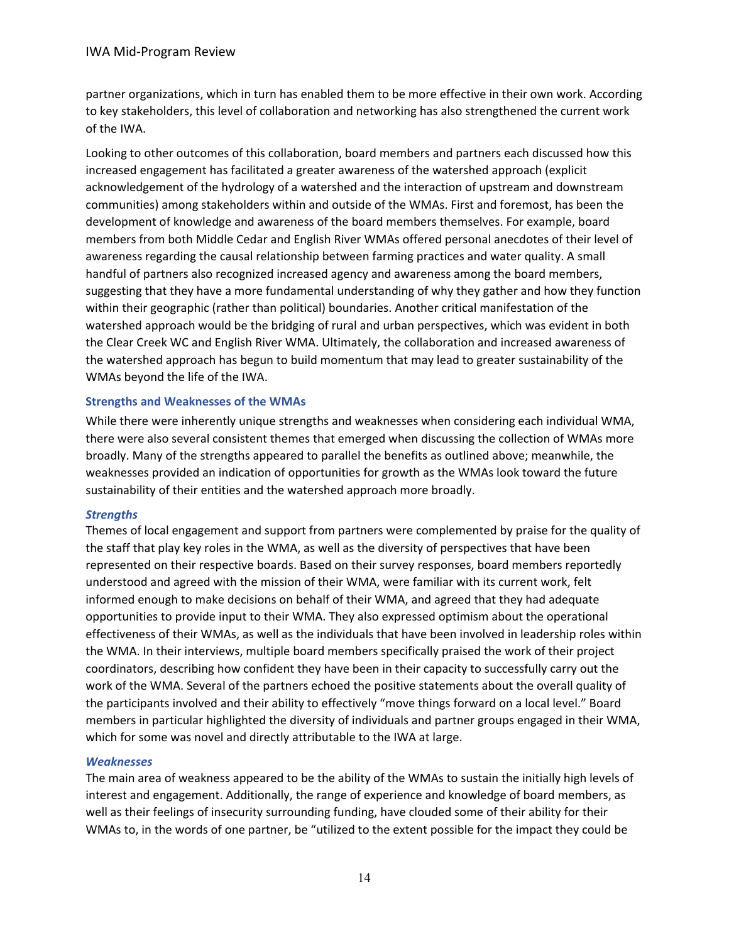partner organizations, which in turn has enabled them to be more effective in their own work. According to key stakeholders, this level of collaboration and networking has also strengthened the current work of the IWA.

Looking to other outcomes of this collaboration, board members and partners each discussed how this increased engagement has facilitated a greater awareness of the watershed approach (explicit acknowledgement of the hydrology of a watershed and the interaction of upstream and downstream communities) among stakeholders within and outside of the WMAs. First and foremost, has been the development of knowledge and awareness of the board members themselves. For example, board members from both Middle Cedar and English River WMAs offered personal anecdotes of their level of awareness regarding the causal relationship between farming practices and water quality. A small handful of partners also recognized increased agency and awareness among the board members, suggesting that they have a more fundamental understanding of why they gather and how they function within their geographic (rather than political) boundaries. Another critical manifestation of the watershed approach would be the bridging of rural and urban perspectives, which was evident in both the Clear Creek WC and English River WMA. Ultimately, the collaboration and increased awareness of the watershed approach has begun to build momentum that may lead to greater sustainability of the WMAs beyond the life of the IWA.

## **Strengths and Weaknesses of the WMAs**

While there were inherently unique strengths and weaknesses when considering each individual WMA, there were also several consistent themes that emerged when discussing the collection of WMAs more broadly. Many of the strengths appeared to parallel the benefits as outlined above; meanwhile, the weaknesses provided an indication of opportunities for growth as the WMAs look toward the future sustainability of their entities and the watershed approach more broadly.

#### *Strengths*

Themes of local engagement and support from partners were complemented by praise for the quality of the staff that play key roles in the WMA, as well as the diversity of perspectives that have been represented on their respective boards. Based on their survey responses, board members reportedly understood and agreed with the mission of their WMA, were familiar with its current work, felt informed enough to make decisions on behalf of their WMA, and agreed that they had adequate opportunities to provide input to their WMA. They also expressed optimism about the operational effectiveness of their WMAs, as well as the individuals that have been involved in leadership roles within the WMA. In their interviews, multiple board members specifically praised the work of their project coordinators, describing how confident they have been in their capacity to successfully carry out the work of the WMA. Several of the partners echoed the positive statements about the overall quality of the participants involved and their ability to effectively "move things forward on a local level." Board members in particular highlighted the diversity of individuals and partner groups engaged in their WMA, which for some was novel and directly attributable to the IWA at large.

#### *Weaknesses*

The main area of weakness appeared to be the ability of the WMAs to sustain the initially high levels of interest and engagement. Additionally, the range of experience and knowledge of board members, as well as their feelings of insecurity surrounding funding, have clouded some of their ability for their WMAs to, in the words of one partner, be "utilized to the extent possible for the impact they could be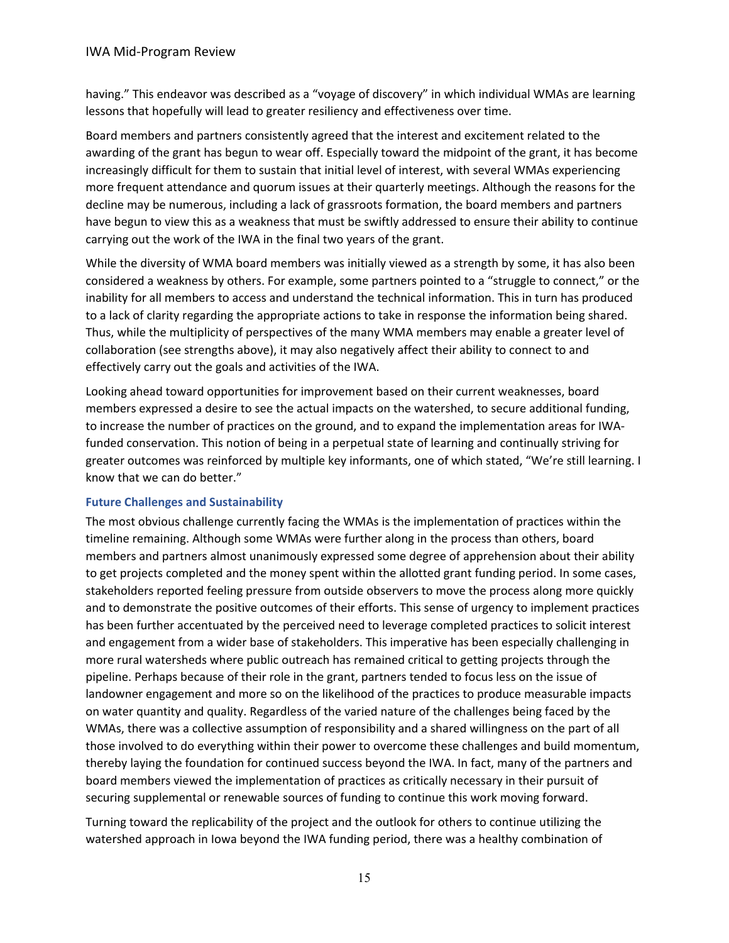having." This endeavor was described as a "voyage of discovery" in which individual WMAs are learning lessons that hopefully will lead to greater resiliency and effectiveness over time.

Board members and partners consistently agreed that the interest and excitement related to the awarding of the grant has begun to wear off. Especially toward the midpoint of the grant, it has become increasingly difficult for them to sustain that initial level of interest, with several WMAs experiencing more frequent attendance and quorum issues at their quarterly meetings. Although the reasons for the decline may be numerous, including a lack of grassroots formation, the board members and partners have begun to view this as a weakness that must be swiftly addressed to ensure their ability to continue carrying out the work of the IWA in the final two years of the grant.

While the diversity of WMA board members was initially viewed as a strength by some, it has also been considered a weakness by others. For example, some partners pointed to a "struggle to connect," or the inability for all members to access and understand the technical information. This in turn has produced to a lack of clarity regarding the appropriate actions to take in response the information being shared. Thus, while the multiplicity of perspectives of the many WMA members may enable a greater level of collaboration (see strengths above), it may also negatively affect their ability to connect to and effectively carry out the goals and activities of the IWA.

Looking ahead toward opportunities for improvement based on their current weaknesses, board members expressed a desire to see the actual impacts on the watershed, to secure additional funding, to increase the number of practices on the ground, and to expand the implementation areas for IWAfunded conservation. This notion of being in a perpetual state of learning and continually striving for greater outcomes was reinforced by multiple key informants, one of which stated, "We're still learning. I know that we can do better."

# **Future Challenges and Sustainability**

The most obvious challenge currently facing the WMAs is the implementation of practices within the timeline remaining. Although some WMAs were further along in the process than others, board members and partners almost unanimously expressed some degree of apprehension about their ability to get projects completed and the money spent within the allotted grant funding period. In some cases, stakeholders reported feeling pressure from outside observers to move the process along more quickly and to demonstrate the positive outcomes of their efforts. This sense of urgency to implement practices has been further accentuated by the perceived need to leverage completed practices to solicit interest and engagement from a wider base of stakeholders. This imperative has been especially challenging in more rural watersheds where public outreach has remained critical to getting projects through the pipeline. Perhaps because of their role in the grant, partners tended to focus less on the issue of landowner engagement and more so on the likelihood of the practices to produce measurable impacts on water quantity and quality. Regardless of the varied nature of the challenges being faced by the WMAs, there was a collective assumption of responsibility and a shared willingness on the part of all those involved to do everything within their power to overcome these challenges and build momentum, thereby laying the foundation for continued success beyond the IWA. In fact, many of the partners and board members viewed the implementation of practices as critically necessary in their pursuit of securing supplemental or renewable sources of funding to continue this work moving forward.

Turning toward the replicability of the project and the outlook for others to continue utilizing the watershed approach in Iowa beyond the IWA funding period, there was a healthy combination of